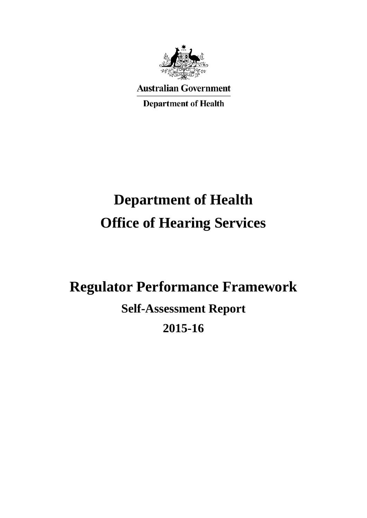

**Australian Government Department of Health** 

# **Department of Health Office of Hearing Services**

## **Regulator Performance Framework**

**Self-Assessment Report**

## **2015-16**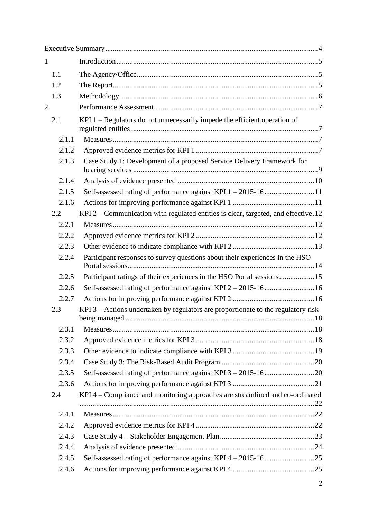| $\mathbf{1}$   |       |                                                                                       |  |
|----------------|-------|---------------------------------------------------------------------------------------|--|
|                | 1.1   |                                                                                       |  |
|                | 1.2   |                                                                                       |  |
|                | 1.3   |                                                                                       |  |
| $\overline{2}$ |       |                                                                                       |  |
|                | 2.1   | KPI 1 - Regulators do not unnecessarily impede the efficient operation of             |  |
|                | 2.1.1 |                                                                                       |  |
|                | 2.1.2 |                                                                                       |  |
|                | 2.1.3 | Case Study 1: Development of a proposed Service Delivery Framework for                |  |
|                | 2.1.4 |                                                                                       |  |
|                | 2.1.5 |                                                                                       |  |
|                | 2.1.6 |                                                                                       |  |
|                | 2.2   | KPI $2$ – Communication with regulated entities is clear, targeted, and effective. 12 |  |
|                | 2.2.1 |                                                                                       |  |
|                | 2.2.2 |                                                                                       |  |
|                | 2.2.3 |                                                                                       |  |
|                | 2.2.4 | Participant responses to survey questions about their experiences in the HSO          |  |
|                | 2.2.5 | Participant ratings of their experiences in the HSO Portal sessions15                 |  |
|                | 2.2.6 |                                                                                       |  |
|                | 2.2.7 |                                                                                       |  |
|                | 2.3   | KPI $3$ – Actions undertaken by regulators are proportionate to the regulatory risk   |  |
|                | 2.3.1 |                                                                                       |  |
|                | 2.3.2 |                                                                                       |  |
|                | 2.3.3 |                                                                                       |  |
|                | 2.3.4 |                                                                                       |  |
|                | 2.3.5 |                                                                                       |  |
|                | 2.3.6 |                                                                                       |  |
|                | 2.4   | KPI 4 – Compliance and monitoring approaches are streamlined and co-ordinated         |  |
|                | 2.4.1 |                                                                                       |  |
|                | 2.4.2 |                                                                                       |  |
|                | 2.4.3 |                                                                                       |  |
|                | 2.4.4 |                                                                                       |  |
|                | 2.4.5 |                                                                                       |  |
|                | 2.4.6 |                                                                                       |  |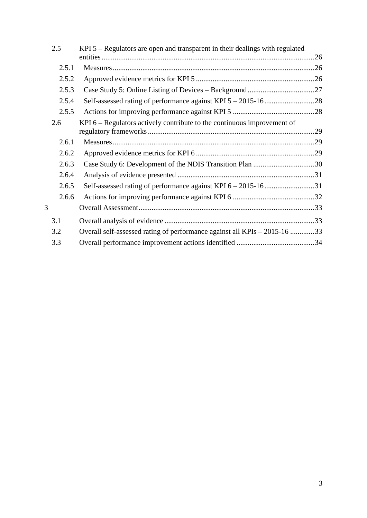| 2.5   | $KPI$ 5 – Regulators are open and transparent in their dealings with regulated |  |
|-------|--------------------------------------------------------------------------------|--|
|       |                                                                                |  |
| 2.5.1 |                                                                                |  |
| 2.5.2 |                                                                                |  |
| 2.5.3 |                                                                                |  |
| 2.5.4 |                                                                                |  |
| 2.5.5 |                                                                                |  |
| 2.6   | KPI $6$ – Regulators actively contribute to the continuous improvement of      |  |
|       |                                                                                |  |
| 2.6.1 |                                                                                |  |
| 2.6.2 |                                                                                |  |
| 2.6.3 | Case Study 6: Development of the NDIS Transition Plan 30                       |  |
| 2.6.4 |                                                                                |  |
| 2.6.5 |                                                                                |  |
| 2.6.6 |                                                                                |  |
| 3     |                                                                                |  |
| 3.1   |                                                                                |  |
| 3.2   | Overall self-assessed rating of performance against all KPIs – 2015-16 33      |  |
| 3.3   |                                                                                |  |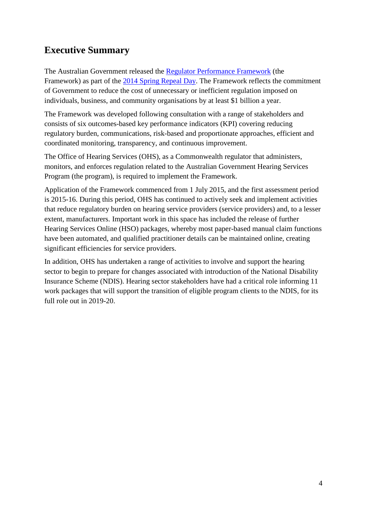## <span id="page-3-0"></span>**Executive Summary**

The Australian Government released the [Regulator Performance Framework](https://www.cuttingredtape.gov.au/resources/rpf) (the Framework) as part of the [2014 Spring Repeal Day.](https://www.cuttingredtape.gov.au/repeal-day/2014-spring-repeal-day) The Framework reflects the commitment of Government to reduce the cost of unnecessary or inefficient regulation imposed on individuals, business, and community organisations by at least \$1 billion a year.

The Framework was developed following consultation with a range of stakeholders and consists of six outcomes-based key performance indicators (KPI) covering reducing regulatory burden, communications, risk-based and proportionate approaches, efficient and coordinated monitoring, transparency, and continuous improvement.

The Office of Hearing Services (OHS), as a Commonwealth regulator that administers, monitors, and enforces regulation related to the Australian Government Hearing Services Program (the program), is required to implement the Framework.

Application of the Framework commenced from 1 July 2015, and the first assessment period is 2015-16. During this period, OHS has continued to actively seek and implement activities that reduce regulatory burden on hearing service providers (service providers) and, to a lesser extent, manufacturers. Important work in this space has included the release of further Hearing Services Online (HSO) packages, whereby most paper-based [manual claim](http://hearingservices.gov.au/wps/portal/hso/site/prof/claiming/manualclaimslanding/submitting_manual_claim_factsheet/!ut/p/a1/lVHLTsMwEPwVOORoedM8ewxIRW1pq4KgSS6R7TqJIbGj2gX173ECiAs01AdLux7P7OzgHKc4l-RNVMQIJUnT13lYLLdB6M5hsoyfNzNIkvXT_WLmT-DOxzuc45xJ05kaZ7VWV0xJw6VxoDvSRjAHatVye3NyELIquoMqudYDu3aANUS0tu9AS-SRNEOtGyL3Q1MfaSuM6T9-vhcDoCgJM7rm3PTqHRN7nAWc7ks_ChDExEO-X4aIuq6LKGVRwCGaAmfWTmbtwB8ngX-5PQOB4AtwRiKzM0Q_DBvwAki2MI3mm9DtRR4vNDVC6F5MuBhbg13j5LC6XVWWlpgaCVkqnH5nidNfssTpeJa7G5x7Sj28VLhr29g7oddyvUaExqd3vr3-AKMbdcM!/dl5/d5/L2dBISEvZ0FBIS9nQSEh/) functions have been automated, and qualified practitioner details can be maintained online, creating significant efficiencies for service providers.

In addition, OHS has undertaken a range of activities to involve and support the hearing sector to begin to prepare for changes associated with introduction of the National Disability Insurance Scheme (NDIS). Hearing sector stakeholders have had a critical role informing 11 work packages that will support the transition of eligible program clients to the NDIS, for its full role out in 2019-20.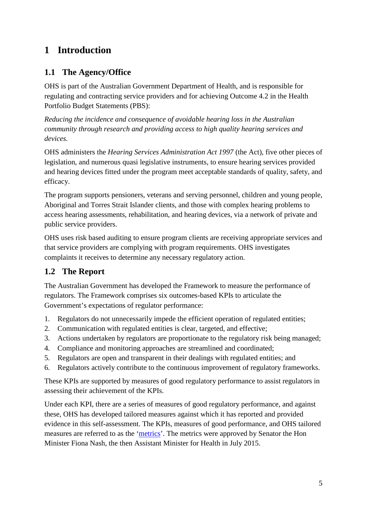## <span id="page-4-0"></span>**1 Introduction**

## <span id="page-4-1"></span>**1.1 The Agency/Office**

OHS is part of the Australian Government Department of Health, and is responsible for regulating and contracting service providers and for achieving Outcome 4.2 in the Health Portfolio Budget Statements (PBS):

*Reducing the incidence and consequence of avoidable hearing loss in the Australian community through research and providing access to high quality hearing services and devices.*

OHS administers the *Hearing Services Administration Act 1997* (the Act), five other pieces of legislation, and numerous quasi legislative instruments, to ensure hearing services provided and hearing devices fitted under the program meet acceptable standards of quality, safety, and efficacy.

The program supports pensioners, veterans and serving personnel, children and young people, Aboriginal and Torres Strait Islander clients, and those with complex hearing problems to access hearing assessments, rehabilitation, and hearing devices, via a network of private and public service providers.

OHS uses risk based auditing to ensure program clients are receiving appropriate services and that service providers are complying with program requirements. OHS investigates complaints it receives to determine any necessary regulatory action.

## <span id="page-4-2"></span>**1.2 The Report**

The Australian Government has developed the Framework to measure the performance of regulators. The Framework comprises six outcomes-based KPIs to articulate the Government's expectations of regulator performance:

- 1. Regulators do not unnecessarily impede the efficient operation of regulated entities;
- 2. Communication with regulated entities is clear, targeted, and effective;
- 3. Actions undertaken by regulators are proportionate to the regulatory risk being managed;
- 4. Compliance and monitoring approaches are streamlined and coordinated;
- 5. Regulators are open and transparent in their dealings with regulated entities; and
- 6. Regulators actively contribute to the continuous improvement of regulatory frameworks.

These KPIs are supported by measures of good regulatory performance to assist regulators in assessing their achievement of the KPIs.

Under each KPI, there are a series of measures of good regulatory performance, and against these, OHS has developed tailored measures against which it has reported and provided evidence in this self-assessment. The KPIs, measures of good performance, and OHS tailored measures are referred to as the ['metrics'](http://www.hearingservices.gov.au/wps/wcm/connect/hso/0468a4f2-1587-404d-8de7-bfc3695c0f97/Regulator+Performance+Framework+Performance+Metrics.pdf?MOD=AJPERES&CONVERT_TO=url&CACHEID=0468a4f2-1587-404d-8de7-bfc3695c0f97). The metrics were approved by Senator the Hon Minister Fiona Nash, the then Assistant Minister for Health in July 2015.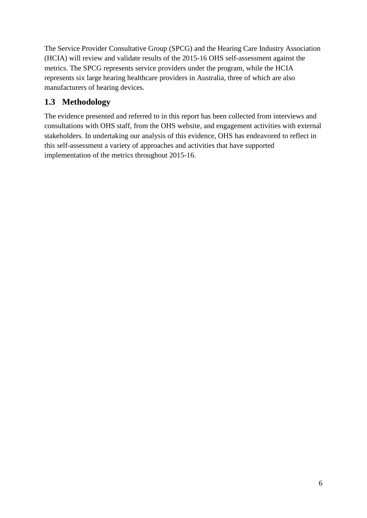The Service Provider Consultative Group (SPCG) and the Hearing Care Industry Association (HCIA) will review and validate results of the 2015-16 OHS self-assessment against the metrics. The SPCG represents service providers under the program, while the HCIA represents six large hearing healthcare providers in Australia, three of which are also manufacturers of hearing devices.

## <span id="page-5-0"></span>**1.3 Methodology**

The evidence presented and referred to in this report has been collected from interviews and consultations with OHS staff, from the OHS website, and engagement activities with external stakeholders. In undertaking our analysis of this evidence, OHS has endeavored to reflect in this self-assessment a variety of approaches and activities that have supported implementation of the metrics throughout 2015-16.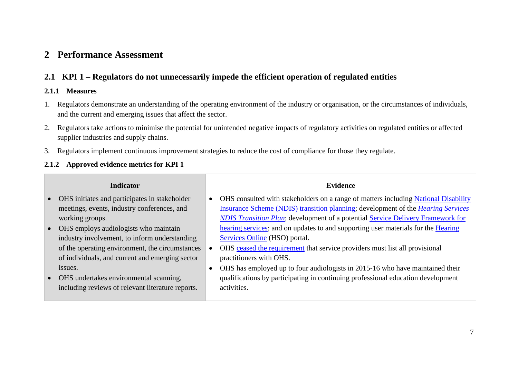## **2 Performance Assessment**

## **2.1 KPI 1 – Regulators do not unnecessarily impede the efficient operation of regulated entities**

#### **2.1.1 Measures**

- 1. Regulators demonstrate an understanding of the operating environment of the industry or organisation, or the circumstances of individuals, and the current and emerging issues that affect the sector.
- 2. Regulators take actions to minimise the potential for unintended negative impacts of regulatory activities on regulated entities or affected supplier industries and supply chains.
- 3. Regulators implement continuous improvement strategies to reduce the cost of compliance for those they regulate.

#### **2.1.2 Approved evidence metrics for KPI 1**

<span id="page-6-3"></span><span id="page-6-2"></span><span id="page-6-1"></span><span id="page-6-0"></span>

| <b>Indicator</b>                                  | <b>Evidence</b>                                                                         |
|---------------------------------------------------|-----------------------------------------------------------------------------------------|
| • OHS initiates and participates in stakeholder   | OHS consulted with stakeholders on a range of matters including National Disability     |
| meetings, events, industry conferences, and       | Insurance Scheme (NDIS) transition planning; development of the <i>Hearing Services</i> |
| working groups.                                   | <b>NDIS Transition Plan; development of a potential Service Delivery Framework for</b>  |
| • OHS employs audiologists who maintain           | hearing services; and on updates to and supporting user materials for the Hearing       |
| industry involvement, to inform understanding     | <b>Services Online</b> (HSO) portal.                                                    |
| of the operating environment, the circumstances   | OHS ceased the requirement that service providers must list all provisional             |
| of individuals, and current and emerging sector   | practitioners with OHS.                                                                 |
| issues.                                           | OHS has employed up to four audiologists in 2015-16 who have maintained their           |
| • OHS undertakes environmental scanning,          | qualifications by participating in continuing professional education development        |
| including reviews of relevant literature reports. | activities.                                                                             |
|                                                   |                                                                                         |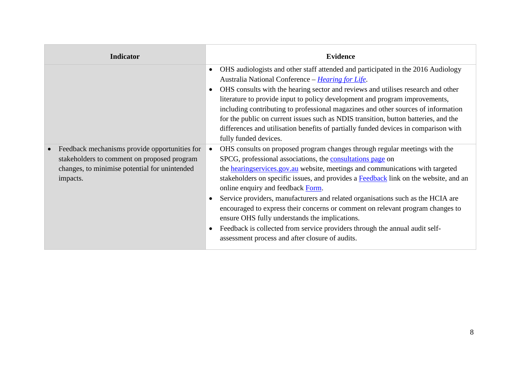| <b>Indicator</b>                                                                                                                                                       | <b>Evidence</b>                                                                                                                                                                                                                                                                                                                                                                                                                                                                                                                                                                                                                                                                                                                      |
|------------------------------------------------------------------------------------------------------------------------------------------------------------------------|--------------------------------------------------------------------------------------------------------------------------------------------------------------------------------------------------------------------------------------------------------------------------------------------------------------------------------------------------------------------------------------------------------------------------------------------------------------------------------------------------------------------------------------------------------------------------------------------------------------------------------------------------------------------------------------------------------------------------------------|
|                                                                                                                                                                        | OHS audiologists and other staff attended and participated in the 2016 Audiology<br>$\bullet$<br>Australia National Conference - Hearing for Life.<br>OHS consults with the hearing sector and reviews and utilises research and other<br>$\bullet$<br>literature to provide input to policy development and program improvements,<br>including contributing to professional magazines and other sources of information<br>for the public on current issues such as NDIS transition, button batteries, and the<br>differences and utilisation benefits of partially funded devices in comparison with<br>fully funded devices.                                                                                                       |
| Feedback mechanisms provide opportunities for<br>$\bullet$<br>stakeholders to comment on proposed program<br>changes, to minimise potential for unintended<br>impacts. | OHS consults on proposed program changes through regular meetings with the<br>SPCG, professional associations, the consultations page on<br>the <b>hearingservices</b> gov. au website, meetings and communications with targeted<br>stakeholders on specific issues, and provides a Feedback link on the website, and an<br>online enquiry and feedback Form.<br>Service providers, manufacturers and related organisations such as the HCIA are<br>$\bullet$<br>encouraged to express their concerns or comment on relevant program changes to<br>ensure OHS fully understands the implications.<br>Feedback is collected from service providers through the annual audit self-<br>assessment process and after closure of audits. |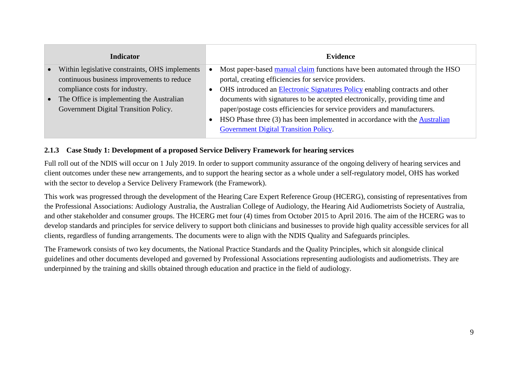|           | <b>Indicator</b>                               | <b>Evidence</b>                                                                    |
|-----------|------------------------------------------------|------------------------------------------------------------------------------------|
| $\bullet$ | Within legislative constraints, OHS implements | Most paper-based manual claim functions have been automated through the HSO        |
|           | continuous business improvements to reduce     | portal, creating efficiencies for service providers.                               |
|           | compliance costs for industry.                 | OHS introduced an <b>Electronic Signatures Policy</b> enabling contracts and other |
| $\bullet$ | The Office is implementing the Australian      | documents with signatures to be accepted electronically, providing time and        |
|           | Government Digital Transition Policy.          | paper/postage costs efficiencies for service providers and manufacturers.          |
|           |                                                | HSO Phase three (3) has been implemented in accordance with the Australian         |
|           |                                                | Government Digital Transition Policy.                                              |

### **2.1.3 Case Study 1: Development of a proposed Service Delivery Framework for hearing services**

Full roll out of the NDIS will occur on 1 July 2019. In order to support community assurance of the ongoing delivery of hearing services and client outcomes under these new arrangements, and to support the hearing sector as a whole under a self-regulatory model, OHS has worked with the sector to develop a Service Delivery Framework (the Framework).

This work was progressed through the development of the Hearing Care Expert Reference Group (HCERG), consisting of representatives from the Professional Associations: Audiology Australia, the Australian College of Audiology, the Hearing Aid Audiometrists Society of Australia, and other stakeholder and consumer groups. The HCERG met four (4) times from October 2015 to April 2016. The aim of the HCERG was to develop standards and principles for service delivery to support both clinicians and businesses to provide high quality accessible services for all clients, regardless of funding arrangements. The documents were to align with the NDIS Quality and Safeguards principles.

<span id="page-8-0"></span>The Framework consists of two key documents, the National Practice Standards and the Quality Principles, which sit alongside clinical guidelines and other documents developed and governed by Professional Associations representing audiologists and audiometrists. They are underpinned by the training and skills obtained through education and practice in the field of audiology.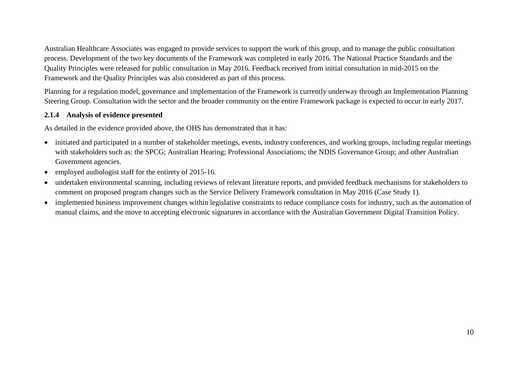Australian Healthcare Associates was engaged to provide services to support the work of this group, and to manage the public consultation process. Development of the two key documents of the Framework was completed in early 2016. The National Practice Standards and the Quality Principles were released for public consultation in May 2016. Feedback received from initial consultation in mid-2015 on the Framework and the Quality Principles was also considered as part of this process.

Planning for a regulation model, governance and implementation of the Framework is currently underway through an Implementation Planning Steering Group. Consultation with the sector and the broader community on the entire Framework package is expected to occur in early 2017.

#### **2.1.4 Analysis of evidence presented**

As detailed in the evidence provided above, the OHS has demonstrated that it has:

- initiated and participated in a number of stakeholder meetings, events, industry conferences, and working groups, including regular meetings with stakeholders such as: the SPCG; Australian Hearing; Professional Associations; the NDIS Governance Group; and other Australian Government agencies.
- employed audiologist staff for the entirety of 2015-16.
- undertaken environmental scanning, including reviews of relevant literature reports, and provided feedback mechanisms for stakeholders to comment on proposed program changes such as the Service Delivery Framework consultation in May 2016 (Case Study 1).
- <span id="page-9-0"></span>• implemented business improvement changes within legislative constraints to reduce compliance costs for industry, such as the automation of manual claims, and the move to accepting electronic signatures in accordance with the Australian Government Digital Transition Policy.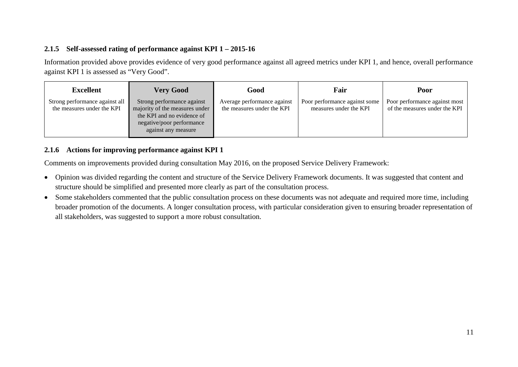#### **2.1.5 Self-assessed rating of performance against KPI 1 – 2015-16**

Information provided above provides evidence of very good performance against all agreed metrics under KPI 1, and hence, overall performance against KPI 1 is assessed as "Very Good".

| Excellent                                                    | <b>Very Good</b>                                                                                                                               | Good                                                      | Fair                                                    | Poor                                                           |
|--------------------------------------------------------------|------------------------------------------------------------------------------------------------------------------------------------------------|-----------------------------------------------------------|---------------------------------------------------------|----------------------------------------------------------------|
| Strong performance against all<br>the measures under the KPI | Strong performance against<br>majority of the measures under<br>the KPI and no evidence of<br>negative/poor performance<br>against any measure | Average performance against<br>the measures under the KPI | Poor performance against some<br>measures under the KPI | Poor performance against most<br>of the measures under the KPI |

#### **2.1.6 Actions for improving performance against KPI 1**

Comments on improvements provided during consultation May 2016, on the proposed Service Delivery Framework:

- Opinion was divided regarding the content and structure of the Service Delivery Framework documents. It was suggested that content and structure should be simplified and presented more clearly as part of the consultation process.
- <span id="page-10-1"></span><span id="page-10-0"></span>• Some stakeholders commented that the public consultation process on these documents was not adequate and required more time, including broader promotion of the documents. A longer consultation process, with particular consideration given to ensuring broader representation of all stakeholders, was suggested to support a more robust consultation.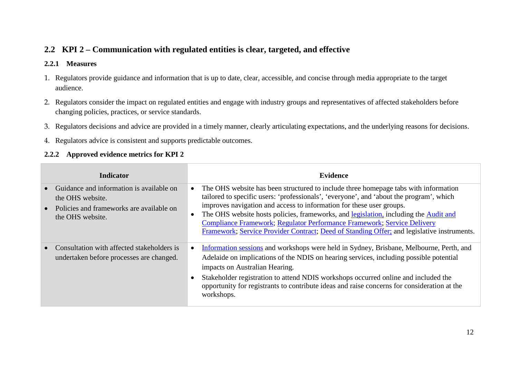## **2.2 KPI 2 – Communication with regulated entities is clear, targeted, and effective**

#### **2.2.1 Measures**

- 1. Regulators provide guidance and information that is up to date, clear, accessible, and concise through media appropriate to the target audience.
- 2. Regulators consider the impact on regulated entities and engage with industry groups and representatives of affected stakeholders before changing policies, practices, or service standards.
- 3. Regulators decisions and advice are provided in a timely manner, clearly articulating expectations, and the underlying reasons for decisions.
- 4. Regulators advice is consistent and supports predictable outcomes.

#### **2.2.2 Approved evidence metrics for KPI 2**

<span id="page-11-2"></span><span id="page-11-1"></span><span id="page-11-0"></span>

| <b>Indicator</b>                                                                                                             | <b>Evidence</b>                                                                                                                                                                                                                                                                                                                                                                                                                                                                                                         |
|------------------------------------------------------------------------------------------------------------------------------|-------------------------------------------------------------------------------------------------------------------------------------------------------------------------------------------------------------------------------------------------------------------------------------------------------------------------------------------------------------------------------------------------------------------------------------------------------------------------------------------------------------------------|
| Guidance and information is available on<br>the OHS website.<br>Policies and frameworks are available on<br>the OHS website. | The OHS website has been structured to include three homepage tabs with information<br>tailored to specific users: 'professionals', 'everyone', and 'about the program', which<br>improves navigation and access to information for these user groups.<br>The OHS website hosts policies, frameworks, and legislation, including the Audit and<br>Compliance Framework; Regulator Performance Framework; Service Delivery<br>Framework; Service Provider Contract; Deed of Standing Offer; and legislative instruments. |
| Consultation with affected stakeholders is<br>undertaken before processes are changed.                                       | Information sessions and workshops were held in Sydney, Brisbane, Melbourne, Perth, and<br>Adelaide on implications of the NDIS on hearing services, including possible potential<br>impacts on Australian Hearing.<br>Stakeholder registration to attend NDIS workshops occurred online and included the<br>opportunity for registrants to contribute ideas and raise concerns for consideration at the<br>workshops.                                                                                                  |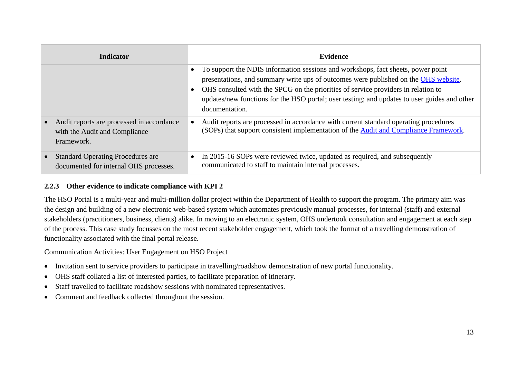| <b>Indicator</b>                                                                         | Evidence                                                                                                                                                                                                                                                                                                                                                                       |
|------------------------------------------------------------------------------------------|--------------------------------------------------------------------------------------------------------------------------------------------------------------------------------------------------------------------------------------------------------------------------------------------------------------------------------------------------------------------------------|
|                                                                                          | To support the NDIS information sessions and workshops, fact sheets, power point<br>presentations, and summary write ups of outcomes were published on the OHS website.<br>OHS consulted with the SPCG on the priorities of service providers in relation to<br>updates/new functions for the HSO portal; user testing; and updates to user guides and other<br>documentation. |
| Audit reports are processed in accordance<br>with the Audit and Compliance<br>Framework. | Audit reports are processed in accordance with current standard operating procedures<br>(SOPs) that support consistent implementation of the Audit and Compliance Framework.                                                                                                                                                                                                   |
| <b>Standard Operating Procedures are</b><br>documented for internal OHS processes.       | In 2015-16 SOPs were reviewed twice, updated as required, and subsequently<br>communicated to staff to maintain internal processes.                                                                                                                                                                                                                                            |

#### **2.2.3 Other evidence to indicate compliance with KPI 2**

The HSO Portal is a multi-year and multi-million dollar project within the Department of Health to support the program. The primary aim was the design and building of a new electronic web-based system which automates previously manual processes, for internal (staff) and external stakeholders (practitioners, business, clients) alike. In moving to an electronic system, OHS undertook consultation and engagement at each step of the process. This case study focusses on the most recent stakeholder engagement, which took the format of a travelling demonstration of functionality associated with the final portal release.

Communication Activities: User Engagement on HSO Project

- Invitation sent to service providers to participate in travelling/roadshow demonstration of new portal functionality.
- OHS staff collated a list of interested parties, to facilitate preparation of itinerary.
- Staff travelled to facilitate roadshow sessions with nominated representatives.
- <span id="page-12-0"></span>• Comment and feedback collected throughout the session.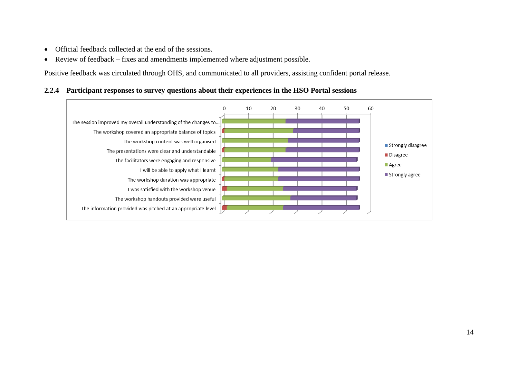- Official feedback collected at the end of the sessions.
- Review of feedback fixes and amendments implemented where adjustment possible.

Positive feedback was circulated through OHS, and communicated to all providers, assisting confident portal release.

#### **2.2.4 Participant responses to survey questions about their experiences in the HSO Portal sessions**

<span id="page-13-0"></span>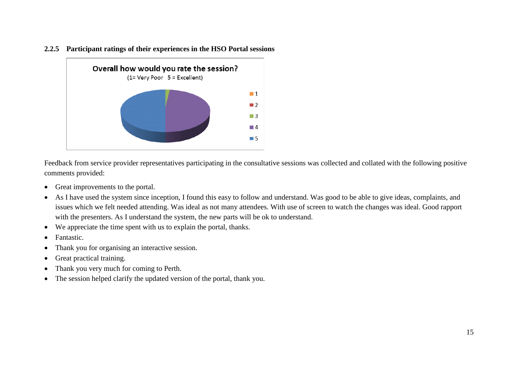



Feedback from service provider representatives participating in the consultative sessions was collected and collated with the following positive comments provided:

- Great improvements to the portal.
- <span id="page-14-0"></span>• As I have used the system since inception, I found this easy to follow and understand. Was good to be able to give ideas, complaints, and issues which we felt needed attending. Was ideal as not many attendees. With use of screen to watch the changes was ideal. Good rapport with the presenters. As I understand the system, the new parts will be ok to understand.
- We appreciate the time spent with us to explain the portal, thanks.
- Fantastic.
- Thank you for organising an interactive session.
- Great practical training.
- Thank you very much for coming to Perth.
- The session helped clarify the updated version of the portal, thank you.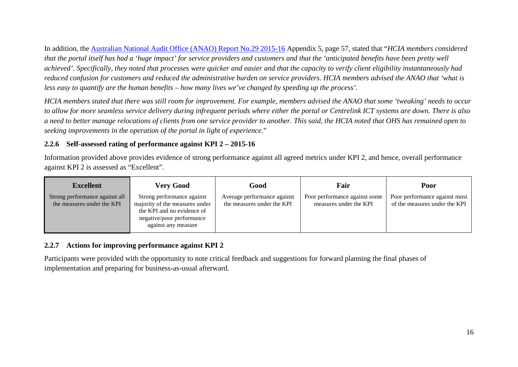In addition, the [Australian National Audit Office \(ANAO\) Report No.29 2015-16](https://www.anao.gov.au/sites/g/files/net1661/f/ANAO_Report_2015-2016_29.pdf) Appendix 5, page 57, stated that "*HCIA members considered that the portal itself has had a 'huge impact' for service providers and customers and that the 'anticipated benefits have been pretty well*  achieved'. Specifically, they noted that processes were quicker and easier and that the capacity to verify client eligibility instantaneously had *reduced confusion for customers and reduced the administrative burden on service providers. HCIA members advised the ANAO that 'what is less easy to quantify are the human benefits – how many lives we've changed by speeding up the process'.*

*HCIA members stated that there was still room for improvement. For example, members advised the ANAO that some 'tweaking' needs to occur to allow for more seamless service delivery during infrequent periods where either the portal or Centrelink ICT systems are down. There is also a need to better manage relocations of clients from one service provider to another. This said, the HCIA noted that OHS has remained open to seeking improvements in the operation of the portal in light of experience.*"

#### **2.2.6 Self-assessed rating of performance against KPI 2 – 2015-16**

Information provided above provides evidence of strong performance against all agreed metrics under KPI 2, and hence, overall performance against KPI 2 is assessed as "Excellent".

| <b>Excellent</b>                                             | <b>Very Good</b>                                                                                                                               | Good                                                      | Fair                                                    | Poor                                                           |
|--------------------------------------------------------------|------------------------------------------------------------------------------------------------------------------------------------------------|-----------------------------------------------------------|---------------------------------------------------------|----------------------------------------------------------------|
| Strong performance against all<br>the measures under the KPI | Strong performance against<br>majority of the measures under<br>the KPI and no evidence of<br>negative/poor performance<br>against any measure | Average performance against<br>the measures under the KPI | Poor performance against some<br>measures under the KPI | Poor performance against most<br>of the measures under the KPI |

#### **2.2.7 Actions for improving performance against KPI 2**

<span id="page-15-1"></span><span id="page-15-0"></span>Participants were provided with the opportunity to note critical feedback and suggestions for forward planning the final phases of implementation and preparing for business-as-usual afterward.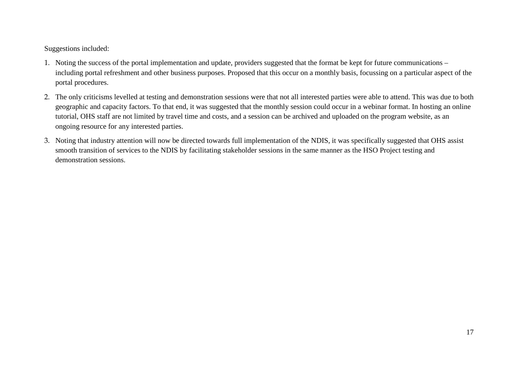Suggestions included:

- 1. Noting the success of the portal implementation and update, providers suggested that the format be kept for future communications including portal refreshment and other business purposes. Proposed that this occur on a monthly basis, focussing on a particular aspect of the portal procedures.
- 2. The only criticisms levelled at testing and demonstration sessions were that not all interested parties were able to attend. This was due to both geographic and capacity factors. To that end, it was suggested that the monthly session could occur in a webinar format. In hosting an online tutorial, OHS staff are not limited by travel time and costs, and a session can be archived and uploaded on the program website, as an ongoing resource for any interested parties.
- 3. Noting that industry attention will now be directed towards full implementation of the NDIS, it was specifically suggested that OHS assist smooth transition of services to the NDIS by facilitating stakeholder sessions in the same manner as the HSO Project testing and demonstration sessions.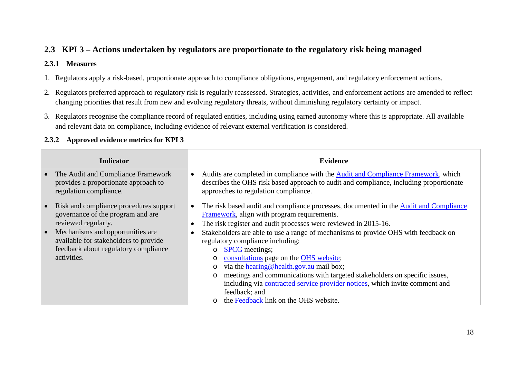## **2.3 KPI 3 – Actions undertaken by regulators are proportionate to the regulatory risk being managed**

#### **2.3.1 Measures**

- 1. Regulators apply a risk-based, proportionate approach to compliance obligations, engagement, and regulatory enforcement actions.
- 2. Regulators preferred approach to regulatory risk is regularly reassessed. Strategies, activities, and enforcement actions are amended to reflect changing priorities that result from new and evolving regulatory threats, without diminishing regulatory certainty or impact.
- 3. Regulators recognise the compliance record of regulated entities, including using earned autonomy where this is appropriate. All available and relevant data on compliance, including evidence of relevant external verification is considered.

#### <span id="page-17-2"></span><span id="page-17-1"></span><span id="page-17-0"></span>**Indicator Evidence** • The Audit and Compliance Framework provides a proportionate approach to regulation compliance. • Audits are completed in compliance with the [Audit and Compliance Framework,](http://www.hearingservices.gov.au/wps/wcm/connect/hso/hso+content/public/home/hearing_professionals/audit/audit_compliance_framework_report) which describes the OHS risk based approach to audit and compliance, including proportionate approaches to regulation compliance. • Risk and compliance procedures support governance of the program and are reviewed regularly. • Mechanisms and opportunities are available for stakeholders to provide feedback about regulatory compliance activities. • The risk based audit and compliance processes, documented in the Audit and Compliance [Framework,](http://www.hearingservices.gov.au/wps/wcm/connect/hso/hso+content/public/home/hearing_professionals/audit/audit_compliance_framework_report) align with program requirements. • The risk register and audit processes were reviewed in 2015-16. Stakeholders are able to use a range of mechanisms to provide OHS with feedback on regulatory compliance including: o [SPCG](http://hearingservices.gov.au/wps/portal/hso/site/about/whoarewe/spcg/!ut/p/a1/lZFNU4MwEIb_ih44ZrKE7yPTD4RaGMeqwKUTUihoIWmb2vbfNzh6FGVv2Xmz--774BynOO_oZ7OlsuEd3fXv3F4vnixbD4Es3NdkDr4fvzxGc5NAAvgN5zhnnRSyxll95HeMd7LspAbiVOwapkHN21IDWvCTap5rTg_lWTWOgm37v4I1G5xRymzP8XRUQWUj07I9VBQbQAU1TOaZBnFKV5nJlBn4pXz4l9cBCVjfgoEVmfLgrIk79R88Uw-TWTgDfxKsosANSTC18PPIo4YHrmD0wOivGFSM5LCcLFX8gsoaNV3FcfpDBqdfZJSoed_vc1_R7YleJE5H4xVt6xpX9FHFMaKFe71Y2f0NxyntFg!!/dl5/d5/L2dBISEvZ0FBIS9nQSEh/) meetings; o [consultations](http://hearingservices.gov.au/wps/portal/hso/site/about/usefulinfo/consultations/landingopenconsultations/!ut/p/a1/tVJNU8IwFPwrXnrM5JF-EI4ZviwIjCNK2wuThpZGS1JsqvLvTR1nHA5UOZhbkp3dfW8XJzjCieJvcs-N1IqX7T0JtvN7P-iFQOb0aTUBxpaPd7OJR2AFeIMTnAhlKlPguKj1jdDKZMo4UDVpKYUDhT5kDvBUN_axqbO8KaXKtQMWWTel-ZKqHSi52km111Wmzn5agUrIHY69gaCw61NEshSQ5-UCUT8VyHNzQnwaCHdArePYOoYLh8GfBuqAgP8N6JCIrYf-ltARux14vXA1DsfAhtP1bEpDMh35-OHKoboJ13A14ey3Ndg1ktfFcLG3tNwUqI0MRz_x4eg8pOhifJZJPh-PCbM9abvxYXD0P0WpDgfqntBLvlwintLTe7Zhn1oNoYE!/dl5/d5/L2dBISEvZ0FBIS9nQSEh/) page on the [OHS website;](http://hearingservices.gov.au/wps/portal/hso/site/HSOHome/!ut/p/a1/04_Sj9CPykssy0xPLMnMz0vMAfGjzOK9A03NDD0NjLwtwvzdDBwd_UJ9vNxMjAy8DYAKIoEKDHAARwNC-sP1o_AqMTCFKsBjRUFuhEGmo6IiAGbW_L4!/dl5/d5/L2dBISEvZ0FBIS9nQSEh/) o via the [hearing@health.](http://www.hearingservices.gov.au/wps/wcm/connect/hso/hso+content/public/home/for+everyone/clientinfo/complaints)gov.au mail box; o meetings and communications with targeted stakeholders on specific issues, including via [contracted service provider notices,](http://hearingservices.gov.au/wps/portal/hso/site/prof/contractedserviceprovidernotices/!ut/p/a1/tZLLboMwEEV_pV1kaXl4Jc4SpQmFvFT1BWwiYwy4DTYBFzV_X1N1W9Is6oWlka-P74wvTnGMU0l7UVItlKTHoU6nh_WDN7VCsNfkZb8C3989b6KVa0Pg4lec4pRJ3egKJ1WnbpiSmks9geYjOwo2gUrV3OyctkKWh6ZVBe-6b3o3gUHdUqZ53vG2F4yb817kvJVKm6ob6A0TOU54lnkOLxiaWRSQO_UIIjMnQ3lBcpfCnLsZN3YTYxd-WT78qZsRCXg_gpEnEuNhdrDJnX8_d61wvwyX4C-CpyggoR14Hn68sqlx4AauBkaXxmDGaLfbxbY0WKorJGShcHzxr8w18XY6pb5JxJCCT43jf4hEU9fEOaP3YrdDNCNn51jefgFGWXKq/dl5/d5/L2dBISEvZ0FBIS9nQSEh/) which invite comment and feedback; and o the [Feedback](http://hearingservices.gov.au/wps/portal/hso/site/webform/feedbackform/!ut/p/a1/lZHNboMwEIRfpReOljcYDBxRpUjkBxRVbcGXyjZ2cBMMSdymefsaqVLVQ9NmbyvN7n6zgxmuMbP83Wy5M4Pl-6ln9GW5iemsgHCZPlVzyPPycbWYRyFQip8xw0xaN7oON91puJODdcq6AMY3sTcygLMSejj2AWilWsHlbuqmqVGaFjdtRFKuMkCKRhJFXGskZEwQTTiQjGSRSKXHaDwG_FI5_IvyigTiL8GVE41nSL43VEBiyDeQJUVFZ1AQ_HCjqcVf1N51eFzfr7d-LXcdMlYPuP7xRi8xr4cDy30I0-M_HK5vSGHs-5Rc0E6XJWLicv4EPSlBEQ!!/dl5/d5/L2dBISEvZ0FBIS9nQSEh/) link on the OHS website.

#### **2.3.2 Approved evidence metrics for KPI 3**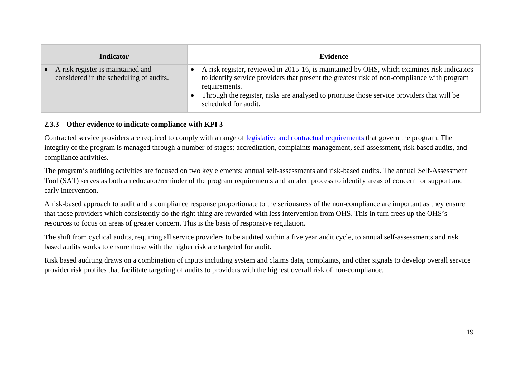| <b>Indicator</b>                                                               | Evidence                                                                                                                                                                                                                                                                                                                          |
|--------------------------------------------------------------------------------|-----------------------------------------------------------------------------------------------------------------------------------------------------------------------------------------------------------------------------------------------------------------------------------------------------------------------------------|
| • A risk register is maintained and<br>considered in the scheduling of audits. | A risk register, reviewed in 2015-16, is maintained by OHS, which examines risk indicators<br>to identify service providers that present the greatest risk of non-compliance with program<br>requirements.<br>Through the register, risks are analysed to prioritise those service providers that will be<br>scheduled for audit. |

#### **2.3.3 Other evidence to indicate compliance with KPI 3**

Contracted service providers are required to comply with a range of [legislative and contractual requirements](http://hearingservices.gov.au/wps/portal/hso/site/about/legislation/!ut/p/a1/lVFNU4MwEP0reugxkwUCpMdMPxBqYRyrApdOoHxEgVCbOvbfNzgevIiyt915-_btezjFMU47_iEqroTseDP0qbPfPNiO4YO5oc_RGhgLn-6DNTEhAvyCU5zmnepVjZP6JG9y2amiUzPoz1kj8hnUsi1mwDN51sOmqMSp-WIfFvtcHHBik0PuOK6DDMPliJCSoAyIgUqXWtmcA-GFqZUkWgn8Ugz-JXQEAvY3YOREojW4e5Mu2d2cGH608lfAFt4u8KhveksbP058apxwB5MJg79s0Daa79vFttK0XNVIdKXE8c9YNEK8Ho8p07kOWX4qHE8Ltm9bal3QWxmGiGf0YjXV7RWgnYVj/dl5/d5/L2dBISEvZ0FBIS9nQSEh/) that govern the program. The integrity of the program is managed through a number of stages; accreditation, complaints management, self-assessment, risk based audits, and compliance activities.

The program's auditing activities are focused on two key elements: annual self-assessments and risk-based audits. The annual Self-Assessment Tool (SAT) serves as both an educator/reminder of the program requirements and an alert process to identify areas of concern for support and early intervention.

A risk-based approach to audit and a compliance response proportionate to the seriousness of the non-compliance are important as they ensure that those providers which consistently do the right thing are rewarded with less intervention from OHS. This in turn frees up the OHS's resources to focus on areas of greater concern. This is the basis of responsive regulation.

The shift from cyclical audits, requiring all service providers to be audited within a five year audit cycle, to annual self-assessments and risk based audits works to ensure those with the higher risk are targeted for audit.

<span id="page-18-0"></span>Risk based auditing draws on a combination of inputs including system and claims data, complaints, and other signals to develop overall service provider risk profiles that facilitate targeting of audits to providers with the highest overall risk of non-compliance.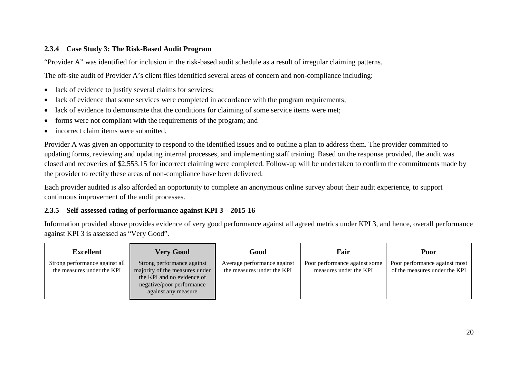#### **2.3.4 Case Study 3: The Risk-Based Audit Program**

"Provider A" was identified for inclusion in the risk-based audit schedule as a result of irregular claiming patterns.

The off-site audit of Provider A's client files identified several areas of concern and non-compliance including:

- lack of evidence to justify several claims for services;
- lack of evidence that some services were completed in accordance with the program requirements;
- lack of evidence to demonstrate that the conditions for claiming of some service items were met;
- forms were not compliant with the requirements of the program; and
- incorrect claim items were submitted.

Provider A was given an opportunity to respond to the identified issues and to outline a plan to address them. The provider committed to updating forms, reviewing and updating internal processes, and implementing staff training. Based on the response provided, the audit was closed and recoveries of \$2,553.15 for incorrect claiming were completed. Follow-up will be undertaken to confirm the commitments made by the provider to rectify these areas of non-compliance have been delivered.

Each provider audited is also afforded an opportunity to complete an anonymous online survey about their audit experience, to support continuous improvement of the audit processes.

#### <span id="page-19-0"></span>**2.3.5 Self-assessed rating of performance against KPI 3 – 2015-16**

Information provided above provides evidence of very good performance against all agreed metrics under KPI 3, and hence, overall performance against KPI 3 is assessed as "Very Good".

<span id="page-19-1"></span>

| <b>Excellent</b>                                             | <b>Very Good</b>                                                                                                                               | Good                                                      | Fair                                                    | Poor                                                           |
|--------------------------------------------------------------|------------------------------------------------------------------------------------------------------------------------------------------------|-----------------------------------------------------------|---------------------------------------------------------|----------------------------------------------------------------|
| Strong performance against all<br>the measures under the KPI | Strong performance against<br>majority of the measures under<br>the KPI and no evidence of<br>negative/poor performance<br>against any measure | Average performance against<br>the measures under the KPI | Poor performance against some<br>measures under the KPI | Poor performance against most<br>of the measures under the KPI |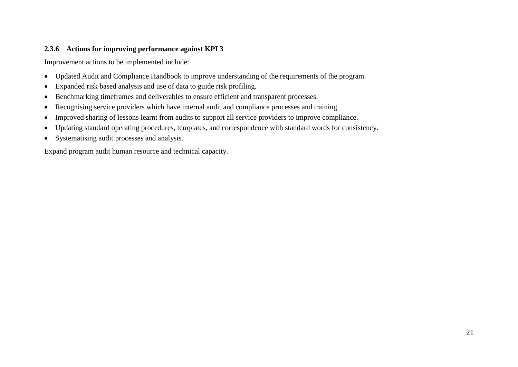#### **2.3.6 Actions for improving performance against KPI 3**

Improvement actions to be implemented include:

- Updated Audit and Compliance Handbook to improve understanding of the requirements of the program.
- Expanded risk based analysis and use of data to guide risk profiling.
- Benchmarking timeframes and deliverables to ensure efficient and transparent processes.
- Recognising service providers which have internal audit and compliance processes and training.
- Improved sharing of lessons learnt from audits to support all service providers to improve compliance.
- Updating standard operating procedures, templates, and correspondence with standard words for consistency.
- Systematising audit processes and analysis.

<span id="page-20-0"></span>Expand program audit human resource and technical capacity.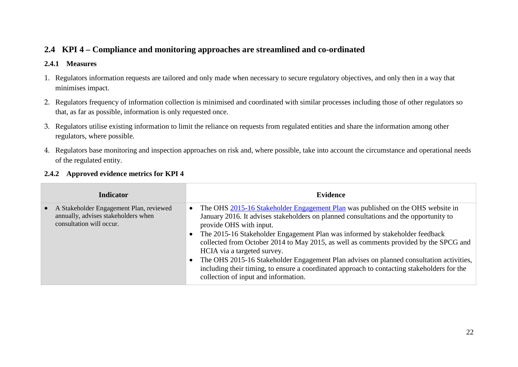## **2.4 KPI 4 – Compliance and monitoring approaches are streamlined and co-ordinated**

#### **2.4.1 Measures**

- 1. Regulators information requests are tailored and only made when necessary to secure regulatory objectives, and only then in a way that minimises impact.
- 2. Regulators frequency of information collection is minimised and coordinated with similar processes including those of other regulators so that, as far as possible, information is only requested once.
- 3. Regulators utilise existing information to limit the reliance on requests from regulated entities and share the information among other regulators, where possible.
- 4. Regulators base monitoring and inspection approaches on risk and, where possible, take into account the circumstance and operational needs of the regulated entity.

<span id="page-21-2"></span><span id="page-21-1"></span><span id="page-21-0"></span>

| <b>Indicator</b>                                                                                           | <b>Evidence</b>                                                                                                                                                                                                                                                                                                                                                                                                                                                                                                                                                                                                                                   |
|------------------------------------------------------------------------------------------------------------|---------------------------------------------------------------------------------------------------------------------------------------------------------------------------------------------------------------------------------------------------------------------------------------------------------------------------------------------------------------------------------------------------------------------------------------------------------------------------------------------------------------------------------------------------------------------------------------------------------------------------------------------------|
| A Stakeholder Engagement Plan, reviewed<br>annually, advises stakeholders when<br>consultation will occur. | The OHS 2015-16 Stakeholder Engagement Plan was published on the OHS website in<br>January 2016. It advises stakeholders on planned consultations and the opportunity to<br>provide OHS with input.<br>• The 2015-16 Stakeholder Engagement Plan was informed by stakeholder feedback<br>collected from October 2014 to May 2015, as well as comments provided by the SPCG and<br>HCIA via a targeted survey.<br>• The OHS 2015-16 Stakeholder Engagement Plan advises on planned consultation activities,<br>including their timing, to ensure a coordinated approach to contacting stakeholders for the<br>collection of input and information. |

#### **2.4.2 Approved evidence metrics for KPI 4**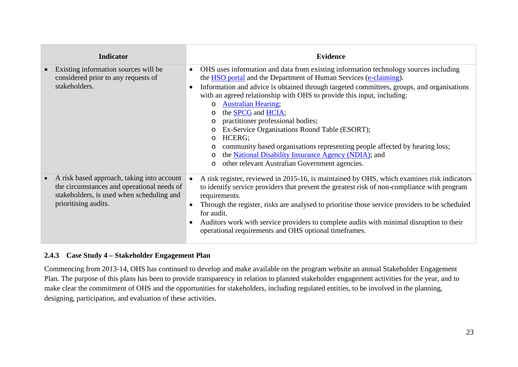| <b>Indicator</b>                                                                                                                                              | <b>Evidence</b>                                                                                                                                                                                                                                                                                                                                                                                                                                                                                                                                                                                                                                                                                                                                                                        |
|---------------------------------------------------------------------------------------------------------------------------------------------------------------|----------------------------------------------------------------------------------------------------------------------------------------------------------------------------------------------------------------------------------------------------------------------------------------------------------------------------------------------------------------------------------------------------------------------------------------------------------------------------------------------------------------------------------------------------------------------------------------------------------------------------------------------------------------------------------------------------------------------------------------------------------------------------------------|
| Existing information sources will be<br>considered prior to any requests of<br>stakeholders.                                                                  | OHS uses information and data from existing information technology sources including<br>the HSO portal and the Department of Human Services (e-claiming).<br>Information and advice is obtained through targeted committees, groups, and organisations<br>$\bullet$<br>with an agreed relationship with OHS to provide this input, including:<br><b>Australian Hearing;</b><br>$\circ$<br>the <b>SPCG</b> and <b>HCIA</b> ;<br>$\circ$<br>practitioner professional bodies;<br>$\circ$<br>Ex-Service Organisations Round Table (ESORT);<br>$\circ$<br>HCERG;<br>$\circ$<br>community based organisations representing people affected by hearing loss;<br>the National Disability Insurance Agency (NDIA); and<br>$\circ$<br>other relevant Australian Government agencies.<br>$\circ$ |
| A risk based approach, taking into account<br>the circumstances and operational needs of<br>stakeholders, is used when scheduling and<br>prioritising audits. | A risk register, reviewed in 2015-16, is maintained by OHS, which examines risk indicators<br>to identify service providers that present the greatest risk of non-compliance with program<br>requirements.<br>Through the register, risks are analysed to prioritise those service providers to be scheduled<br>for audit.<br>Auditors work with service providers to complete audits with minimal disruption to their<br>operational requirements and OHS optional timeframes.                                                                                                                                                                                                                                                                                                        |

#### **2.4.3 Case Study 4 – Stakeholder Engagement Plan**

<span id="page-22-0"></span>Commencing from 2013-14, OHS has continued to develop and make available on the program website an annual Stakeholder Engagement Plan. The purpose of this plans has been to provide transparency in relation to planned stakeholder engagement activities for the year, and to make clear the commitment of OHS and the opportunities for stakeholders, including regulated entities, to be involved in the planning, designing, participation, and evaluation of these activities.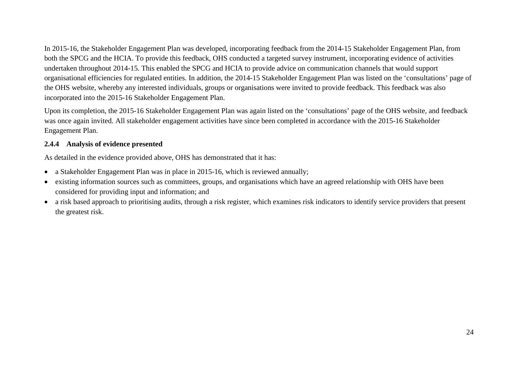In 2015-16, the Stakeholder Engagement Plan was developed, incorporating feedback from the 2014-15 Stakeholder Engagement Plan, from both the SPCG and the HCIA. To provide this feedback, OHS conducted a targeted survey instrument, incorporating evidence of activities undertaken throughout 2014-15. This enabled the SPCG and HCIA to provide advice on communication channels that would support organisational efficiencies for regulated entities. In addition, the 2014-15 Stakeholder Engagement Plan was listed on the 'consultations' page of the OHS website, whereby any interested individuals, groups or organisations were invited to provide feedback. This feedback was also incorporated into the 2015-16 Stakeholder Engagement Plan.

Upon its completion, the 2015-16 Stakeholder Engagement Plan was again listed on the 'consultations' page of the OHS website, and feedback was once again invited. All stakeholder engagement activities have since been completed in accordance with the 2015-16 Stakeholder Engagement Plan.

#### **2.4.4 Analysis of evidence presented**

As detailed in the evidence provided above, OHS has demonstrated that it has:

- a Stakeholder Engagement Plan was in place in 2015-16, which is reviewed annually;
- existing information sources such as committees, groups, and organisations which have an agreed relationship with OHS have been considered for providing input and information; and
- <span id="page-23-0"></span>• a risk based approach to prioritising audits, through a risk register, which examines risk indicators to identify service providers that present the greatest risk.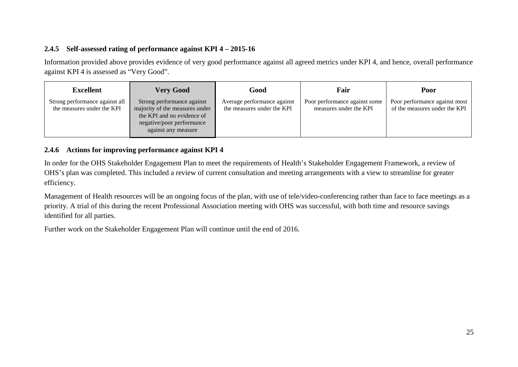#### **2.4.5 Self-assessed rating of performance against KPI 4 – 2015-16**

Information provided above provides evidence of very good performance against all agreed metrics under KPI 4, and hence, overall performance against KPI 4 is assessed as "Very Good".

| Excellent                                                    | <b>Very Good</b>                                                                                                                               | Good                                                      | Fair                                                    | Poor                                                           |
|--------------------------------------------------------------|------------------------------------------------------------------------------------------------------------------------------------------------|-----------------------------------------------------------|---------------------------------------------------------|----------------------------------------------------------------|
| Strong performance against all<br>the measures under the KPI | Strong performance against<br>majority of the measures under<br>the KPI and no evidence of<br>negative/poor performance<br>against any measure | Average performance against<br>the measures under the KPI | Poor performance against some<br>measures under the KPI | Poor performance against most<br>of the measures under the KPI |

#### **2.4.6 Actions for improving performance against KPI 4**

In order for the OHS Stakeholder Engagement Plan to meet the requirements of Health's Stakeholder Engagement Framework, a review of OHS's plan was completed. This included a review of current consultation and meeting arrangements with a view to streamline for greater efficiency.

<span id="page-24-0"></span>Management of Health resources will be an ongoing focus of the plan, with use of tele/video-conferencing rather than face to face meetings as a priority. A trial of this during the recent Professional Association meeting with OHS was successful, with both time and resource savings identified for all parties.

<span id="page-24-1"></span>Further work on the Stakeholder Engagement Plan will continue until the end of 2016.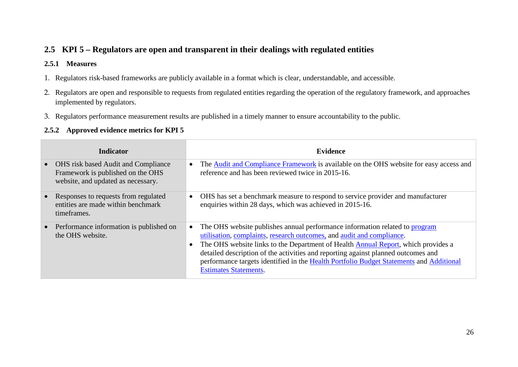## **2.5 KPI 5 – Regulators are open and transparent in their dealings with regulated entities**

#### **2.5.1 Measures**

- 1. Regulators risk-based frameworks are publicly available in a format which is clear, understandable, and accessible.
- 2. Regulators are open and responsible to requests from regulated entities regarding the operation of the regulatory framework, and approaches implemented by regulators.
- 3. Regulators performance measurement results are published in a timely manner to ensure accountability to the public.

#### **2.5.2 Approved evidence metrics for KPI 5**

<span id="page-25-2"></span><span id="page-25-1"></span><span id="page-25-0"></span>

| <b>Indicator</b>                                                                                                      | <b>Evidence</b>                                                                                                                                                                                                                                                                                                                                                                                                                                                   |
|-----------------------------------------------------------------------------------------------------------------------|-------------------------------------------------------------------------------------------------------------------------------------------------------------------------------------------------------------------------------------------------------------------------------------------------------------------------------------------------------------------------------------------------------------------------------------------------------------------|
| <b>OHS</b> risk based Audit and Compliance<br>Framework is published on the OHS<br>website, and updated as necessary. | The <b>Audit and Compliance Framework</b> is available on the OHS website for easy access and<br>reference and has been reviewed twice in 2015-16.                                                                                                                                                                                                                                                                                                                |
| Responses to requests from regulated<br>entities are made within benchmark<br>timeframes.                             | OHS has set a benchmark measure to respond to service provider and manufacturer<br>$\bullet$<br>enquiries within 28 days, which was achieved in 2015-16.                                                                                                                                                                                                                                                                                                          |
| Performance information is published on<br>the OHS website.                                                           | The OHS website publishes annual performance information related to program<br>utilisation, complaints, research outcomes, and audit and compliance.<br>The OHS website links to the Department of Health <b>Annual Report</b> , which provides a<br>detailed description of the activities and reporting against planned outcomes and<br>performance targets identified in the Health Portfolio Budget Statements and Additional<br><b>Estimates Statements.</b> |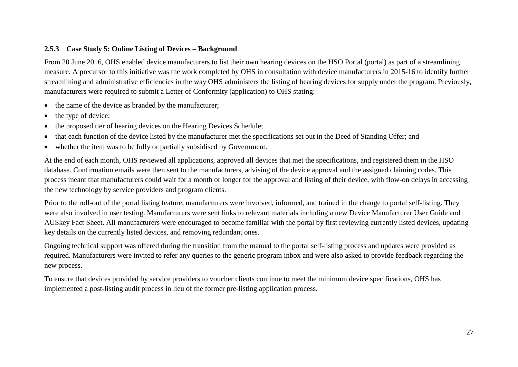#### **2.5.3 Case Study 5: Online Listing of Devices – Background**

From 20 June 2016, OHS enabled device manufacturers to list their own hearing devices on the HSO Portal (portal) as part of a streamlining measure. A precursor to this initiative was the work completed by OHS in consultation with device manufacturers in 2015-16 to identify further streamlining and administrative efficiencies in the way OHS administers the listing of hearing devices for supply under the program. Previously, manufacturers were required to submit a Letter of Conformity (application) to OHS stating:

- the name of the device as branded by the manufacturer;
- the type of device;
- the proposed tier of hearing devices on the Hearing Devices Schedule;
- that each function of the device listed by the manufacturer met the specifications set out in the Deed of Standing Offer; and
- whether the item was to be fully or partially subsidised by Government.

At the end of each month, OHS reviewed all applications, approved all devices that met the specifications, and registered them in the HSO database. Confirmation emails were then sent to the manufacturers, advising of the device approval and the assigned claiming codes. This process meant that manufacturers could wait for a month or longer for the approval and listing of their device, with flow-on delays in accessing the new technology by service providers and program clients.

<span id="page-26-0"></span>Prior to the roll-out of the portal listing feature, manufacturers were involved, informed, and trained in the change to portal self-listing. They were also involved in user testing. Manufacturers were sent links to relevant materials including a new Device Manufacturer User Guide and AUSkey Fact Sheet. All manufacturers were encouraged to become familiar with the portal by first reviewing currently listed devices, updating key details on the currently listed devices, and removing redundant ones.

Ongoing technical support was offered during the transition from the manual to the portal self-listing process and updates were provided as required. Manufacturers were invited to refer any queries to the generic program inbox and were also asked to provide feedback regarding the new process.

To ensure that devices provided by service providers to voucher clients continue to meet the minimum device specifications, OHS has implemented a post-listing audit process in lieu of the former pre-listing application process.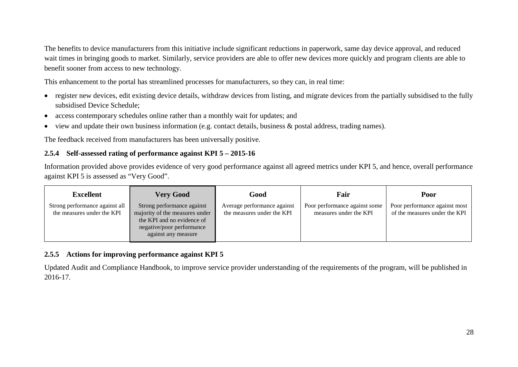The benefits to device manufacturers from this initiative include significant reductions in paperwork, same day device approval, and reduced wait times in bringing goods to market. Similarly, service providers are able to offer new devices more quickly and program clients are able to benefit sooner from access to new technology.

This enhancement to the portal has streamlined processes for manufacturers, so they can, in real time:

- register new devices, edit existing device details, withdraw devices from listing, and migrate devices from the partially subsidised to the fully subsidised [Device Schedule;](http://hearingservices.gov.au/wps/portal/hso/site/prof/deviceschedules)
- access contemporary schedules online rather than a monthly wait for updates; and
- view and update their own business information (e.g. contact details, business & postal address, trading names).

The feedback received from manufacturers has been universally positive.

#### **2.5.4 Self-assessed rating of performance against KPI 5 – 2015-16**

Information provided above provides evidence of very good performance against all agreed metrics under KPI 5, and hence, overall performance against KPI 5 is assessed as "Very Good".

| <b>Excellent</b>                                             | <b>Very Good</b>                                                                                                                               | Good                                                      | Fair                                                    | Poor                                                           |
|--------------------------------------------------------------|------------------------------------------------------------------------------------------------------------------------------------------------|-----------------------------------------------------------|---------------------------------------------------------|----------------------------------------------------------------|
| Strong performance against all<br>the measures under the KPI | Strong performance against<br>majority of the measures under<br>the KPI and no evidence of<br>negative/poor performance<br>against any measure | Average performance against<br>the measures under the KPI | Poor performance against some<br>measures under the KPI | Poor performance against most<br>of the measures under the KPI |

#### **2.5.5 Actions for improving performance against KPI 5**

<span id="page-27-1"></span><span id="page-27-0"></span>Updated Audit and Compliance Handbook, to improve service provider understanding of the requirements of the program, will be published in 2016-17.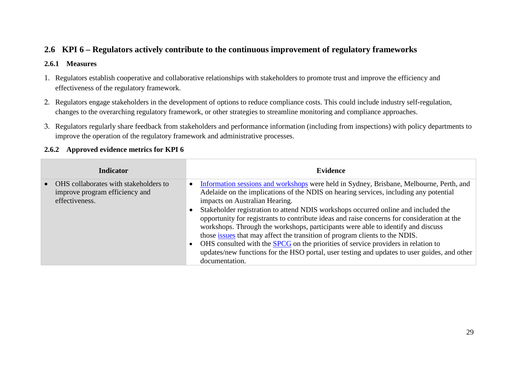## **2.6 KPI 6 – Regulators actively contribute to the continuous improvement of regulatory frameworks**

#### **2.6.1 Measures**

- 1. Regulators establish cooperative and collaborative relationships with stakeholders to promote trust and improve the efficiency and effectiveness of the regulatory framework.
- 2. Regulators engage stakeholders in the development of options to reduce compliance costs. This could include industry self-regulation, changes to the overarching regulatory framework, or other strategies to streamline monitoring and compliance approaches.
- 3. Regulators regularly share feedback from stakeholders and performance information (including from inspections) with policy departments to improve the operation of the regulatory framework and administrative processes.

#### <span id="page-28-2"></span><span id="page-28-1"></span><span id="page-28-0"></span>**Indicator Evidence** • OHS collaborates with stakeholders to improve program efficiency and effectiveness. • [Information sessions and workshops](http://www.hearingservices.gov.au/wps/portal/hso/site/about/national%20disability%20insurance%20scheme/!ut/p/a1/rZJLb4MwDMe_CjtwjGIo0PSI-mC0K2hatxUuVQivbBBoCdP49gtSr2OtNN9s2T___cAxPuJY0C9eUMkbQavRj53T7tl2DB_MHXkLN-C6wevTdmOZEAJ-xzGOmZCtLHFUdo3GGiEzIXVo-6TiTIeyqTMdaNL0KiiuYC3lHU14xeWgcdH1FypYpnWszOpsJLaMpzjKDGbnQEyUGnNAVmoBIolNkZMSurBgRqlhKYmRkgi_mAs3TTCRAvY1YaJFpDTMTyZZuY8Ly_DDtb8Gd-kdth7xTW9l45c7h5oGHuBu4PavNag1mpf9cl8oLJUl4iJv8PGme6lS_nE-x676hPH63xIf_-kV2romswF95kGAaEKGWVU8_ACXK5Z5/dl5/d5/L2dBISEvZ0FBIS9nQSEh/) were held in Sydney, Brisbane, Melbourne, Perth, and Adelaide on the implications of the NDIS on hearing services, including any potential impacts on Australian Hearing. • Stakeholder registration to attend NDIS workshops occurred online and included the opportunity for registrants to contribute ideas and raise concerns for consideration at the workshops. Through the workshops, participants were able to identify and discuss those [issues](http://www.hearingservices.gov.au/wps/portal/hso/site/about/national%20disability%20insurance%20scheme/summary_transition_planning_workshops/!ut/p/a1/vVJNc4IwEP0r9OCRyYKA4cj4VbTqdGpb4MKEiJIKCZLQyr83zHit1Uv3tjsv7-XtPpSgCCWcfLMDUUxwUvZ94qXLV9ezQrCX-GMzgyBYv78sZo4NG0CfKEEJ5apWBYoLKQwquMq5GkDdZiWjAyhElQ-AZKLVQ34lNnZMkoyVTHUG47JtCKe5IWmR92DZVhVpulTpsWT9i7QuCeeMH9If0RxlIWrZC9eU7VAMHsn9jGTm3veo6ViYmgT7vpnDyHaGQws7PmgnsXYCv1QAdxm9AQH3CrghEes_jFIbT4Jn37HCzTScQjCebxdzHNrziYveHjR1m3ALDxMu_lqDXqPdrMarg6YlqjAZ3wsU3XNWFN13Vq3Avk6nJNC56rN0Vij632DVVYWHnXncr9cmyXB3duOnC_RR7mA!/dl5/d5/L2dBISEvZ0FBIS9nQSEh/) that may affect the transition of program clients to the NDIS. • OHS consulted with the [SPCG](http://hearingservices.gov.au/wps/portal/hso/site/about/whoarewe/spcg/!ut/p/a1/lZFNU4MwEIb_ih44ZrKE7yPTD4RaGMeqwKUTUihoIWmb2vbfNzh6FGVv2Xmz--774BynOO_oZ7OlsuEd3fXv3F4vnixbD4Es3NdkDr4fvzxGc5NAAvgN5zhnnRSyxll95HeMd7LspAbiVOwapkHN21IDWvCTap5rTg_lWTWOgm37v4I1G5xRymzP8XRUQWUj07I9VBQbQAU1TOaZBnFKV5nJlBn4pXz4l9cBCVjfgoEVmfLgrIk79R88Uw-TWTgDfxKsosANSTC18PPIo4YHrmD0wOivGFSM5LCcLFX8gsoaNV3FcfpDBqdfZJSoed_vc1_R7YleJE5H4xVt6xpX9FHFMaKFe71Y2f0NxyntFg!!/dl5/d5/L2dBISEvZ0FBIS9nQSEh/) on the priorities of service providers in relation to updates/new functions for the HSO portal, user testing and updates to user guides, and other documentation.

#### **2.6.2 Approved evidence metrics for KPI 6**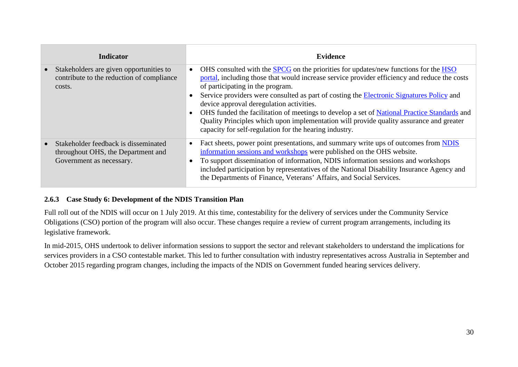| <b>Indicator</b>                                                                                       | <b>Evidence</b>                                                                                                                                                                                                                                                                                                                                                                                                                                                                                                                                                                                                            |
|--------------------------------------------------------------------------------------------------------|----------------------------------------------------------------------------------------------------------------------------------------------------------------------------------------------------------------------------------------------------------------------------------------------------------------------------------------------------------------------------------------------------------------------------------------------------------------------------------------------------------------------------------------------------------------------------------------------------------------------------|
| Stakeholders are given opportunities to<br>contribute to the reduction of compliance<br>costs.         | OHS consulted with the <b>SPCG</b> on the priorities for updates/new functions for the HSO<br>portal, including those that would increase service provider efficiency and reduce the costs<br>of participating in the program.<br>Service providers were consulted as part of costing the Electronic Signatures Policy and<br>device approval deregulation activities.<br>OHS funded the facilitation of meetings to develop a set of National Practice Standards and<br>Quality Principles which upon implementation will provide quality assurance and greater<br>capacity for self-regulation for the hearing industry. |
| Stakeholder feedback is disseminated<br>throughout OHS, the Department and<br>Government as necessary. | Fact sheets, power point presentations, and summary write ups of outcomes from NDIS<br>information sessions and workshops were published on the OHS website.<br>To support dissemination of information, NDIS information sessions and workshops<br>included participation by representatives of the National Disability Insurance Agency and<br>the Departments of Finance, Veterans' Affairs, and Social Services.                                                                                                                                                                                                       |

#### **2.6.3 Case Study 6: Development of the NDIS Transition Plan**

Full roll out of the NDIS will occur on 1 July 2019. At this time, contestability for the delivery of services under the Community Service Obligations (CSO) portion of the program will also occur. These changes require a review of current program arrangements, including its legislative framework.

<span id="page-29-0"></span>In mid-2015, OHS undertook to deliver information sessions to support the sector and relevant stakeholders to understand the implications for services providers in a CSO contestable market. This led to further consultation with industry representatives across Australia in September and October 2015 regarding program changes, including the impacts of the NDIS on Government funded hearing services delivery.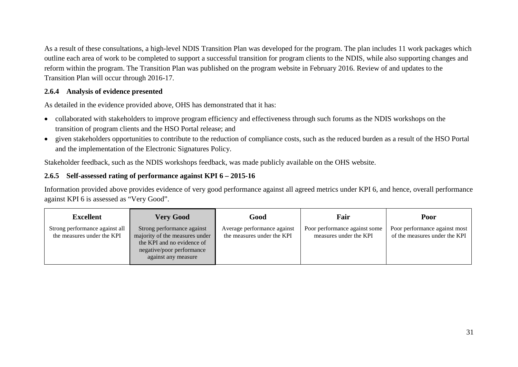As a result of these consultations, a high-level NDIS Transition Plan was developed for the program. The plan includes 11 work packages which outline each area of work to be completed to support a successful transition for program clients to the NDIS, while also supporting changes and reform within the program. The Transition Plan was published on the program website in February 2016. Review of and updates to the Transition Plan will occur through 2016-17.

#### **2.6.4 Analysis of evidence presented**

As detailed in the evidence provided above, OHS has demonstrated that it has:

- collaborated with stakeholders to improve program efficiency and effectiveness through such forums as the NDIS workshops on the transition of program clients and the HSO Portal release; and
- given stakeholders opportunities to contribute to the reduction of compliance costs, such as the reduced burden as a result of the HSO Portal and the implementation of the Electronic Signatures Policy.

Stakeholder feedback, such as the NDIS workshops feedback, was made publicly available on the OHS website.

#### **2.6.5 Self-assessed rating of performance against KPI 6 – 2015-16**

Information provided above provides evidence of very good performance against all agreed metrics under KPI 6, and hence, overall performance against KPI 6 is assessed as "Very Good".

<span id="page-30-1"></span><span id="page-30-0"></span>

| <b>Excellent</b>                                             | <b>Very Good</b>                                                                                                                               | Good                                                      | Fair                                                    | Poor                                                           |
|--------------------------------------------------------------|------------------------------------------------------------------------------------------------------------------------------------------------|-----------------------------------------------------------|---------------------------------------------------------|----------------------------------------------------------------|
| Strong performance against all<br>the measures under the KPI | Strong performance against<br>majority of the measures under<br>the KPI and no evidence of<br>negative/poor performance<br>against any measure | Average performance against<br>the measures under the KPI | Poor performance against some<br>measures under the KPI | Poor performance against most<br>of the measures under the KPI |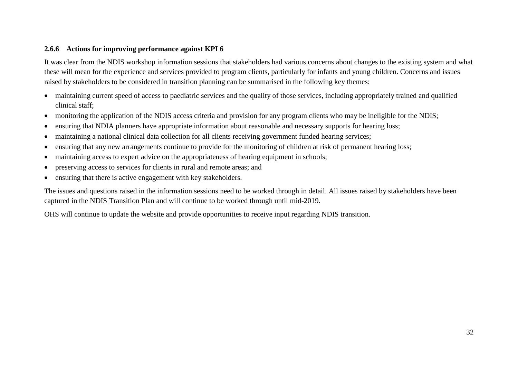#### **2.6.6 Actions for improving performance against KPI 6**

It was clear from the NDIS workshop information sessions that stakeholders had various concerns about changes to the existing system and what these will mean for the experience and services provided to program clients, particularly for infants and young children. Concerns and issues raised by stakeholders to be considered in transition planning can be summarised in the following key themes:

- maintaining current speed of access to paediatric services and the quality of those services, including appropriately trained and qualified clinical staff;
- monitoring the application of the NDIS access criteria and provision for any program clients who may be ineligible for the NDIS;
- ensuring that NDIA planners have appropriate information about reasonable and necessary supports for hearing loss;
- maintaining a national clinical data collection for all clients receiving government funded hearing services;
- ensuring that any new arrangements continue to provide for the monitoring of children at risk of permanent hearing loss;
- maintaining access to expert advice on the appropriateness of hearing equipment in schools;
- preserving access to services for clients in rural and remote areas; and
- ensuring that there is active engagement with key stakeholders.

<span id="page-31-0"></span>The issues and questions raised in the information sessions need to be worked through in detail. All issues raised by stakeholders have been captured in the NDIS Transition Plan and will continue to be worked through until mid-2019.

OHS will continue to update the website and provide opportunities to receive input regarding NDIS transition.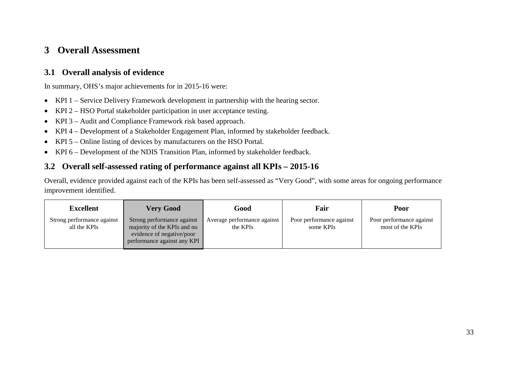## **3 Overall Assessment**

## **3.1 Overall analysis of evidence**

In summary, OHS's major achievements for in 2015-16 were:

- KPI 1 Service Delivery Framework development in partnership with the hearing sector.
- KPI 2 HSO Portal stakeholder participation in user acceptance testing.
- KPI 3 Audit and Compliance Framework risk based approach.
- KPI 4 Development of a Stakeholder Engagement Plan, informed by stakeholder feedback.
- KPI 5 Online listing of devices by manufacturers on the HSO Portal.
- KPI 6 Development of the NDIS Transition Plan, informed by stakeholder feedback.

## **3.2 Overall self-assessed rating of performance against all KPIs – 2015-16**

Overall, evidence provided against each of the KPIs has been self-assessed as "Very Good", with some areas for ongoing performance improvement identified.

<span id="page-32-2"></span><span id="page-32-1"></span><span id="page-32-0"></span>

| <b>Excellent</b>                           | <b>Very Good</b>                                                                                                      | Good                                    | Fair                                  | Poor                                         |
|--------------------------------------------|-----------------------------------------------------------------------------------------------------------------------|-----------------------------------------|---------------------------------------|----------------------------------------------|
| Strong performance against<br>all the KPIs | Strong performance against<br>majority of the KPIs and no<br>evidence of negative/poor<br>performance against any KPI | Average performance against<br>the KPIs | Poor performance against<br>some KPIs | Poor performance against<br>most of the KPIs |